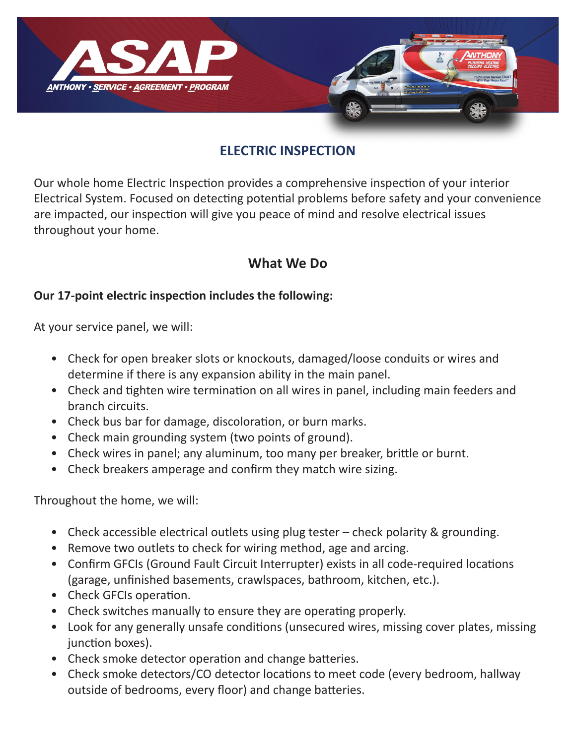

## **ELECTRIC INSPECTION**

Our whole home Electric Inspection provides a comprehensive inspection of your interior Electrical System. Focused on detecting potential problems before safety and your convenience are impacted, our inspection will give you peace of mind and resolve electrical issues throughout your home.

### **What We Do**

#### **Our 17-point electric inspection includes the following:**

At your service panel, we will:

- Check for open breaker slots or knockouts, damaged/loose conduits or wires and determine if there is any expansion ability in the main panel.
- Check and tighten wire termination on all wires in panel, including main feeders and branch circuits.
- Check bus bar for damage, discoloration, or burn marks.
- Check main grounding system (two points of ground).
- Check wires in panel; any aluminum, too many per breaker, brittle or burnt.
- Check breakers amperage and confirm they match wire sizing.

Throughout the home, we will:

- Check accessible electrical outlets using plug tester check polarity & grounding.
- Remove two outlets to check for wiring method, age and arcing.
- Confirm GFCIs (Ground Fault Circuit Interrupter) exists in all code-required locations (garage, unfinished basements, crawlspaces, bathroom, kitchen, etc.).
- Check GFCIs operation.
- Check switches manually to ensure they are operating properly.
- Look for any generally unsafe conditions (unsecured wires, missing cover plates, missing junction boxes).
- Check smoke detector operation and change batteries.
- Check smoke detectors/CO detector locations to meet code (every bedroom, hallway outside of bedrooms, every floor) and change batteries.